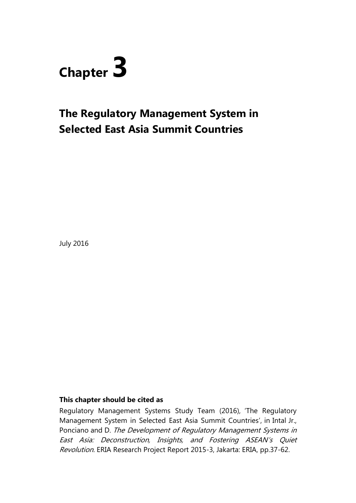

# **The Regulatory Management System in Selected East Asia Summit Countries**

July 2016

### **This chapter should be cited as**

Regulatory Management Systems Study Team (2016), 'The Regulatory Management System in Selected East Asia Summit Countries', in Intal Jr., Ponciano and D. The Development of Regulatory Management Systems in East Asia: Deconstruction, Insights, and Fostering ASEAN's Quiet Revolution. ERIA Research Project Report 2015-3, Jakarta: ERIA, pp.37-62.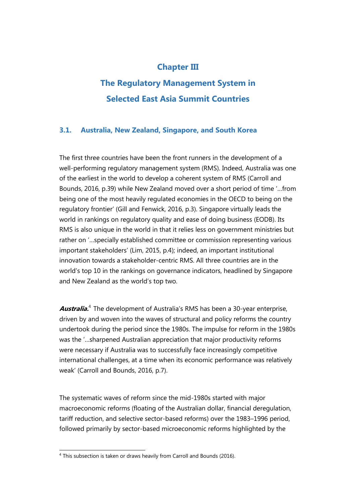### **Chapter III**

## **The Regulatory Management System in Selected East Asia Summit Countries**

### **3.1. Australia, New Zealand, Singapore, and South Korea**

The first three countries have been the front runners in the development of a well-performing regulatory management system (RMS). Indeed, Australia was one of the earliest in the world to develop a coherent system of RMS (Carroll and Bounds, 2016, p.39) while New Zealand moved over a short period of time '…from being one of the most heavily regulated economies in the OECD to being on the regulatory frontier' (Gill and Fenwick, 2016, p.3). Singapore virtually leads the world in rankings on regulatory quality and ease of doing business (EODB). Its RMS is also unique in the world in that it relies less on government ministries but rather on '…specially established committee or commission representing various important stakeholders' (Lim, 2015, p.4); indeed, an important institutional innovation towards a stakeholder-centric RMS. All three countries are in the world's top 10 in the rankings on governance indicators, headlined by Singapore and New Zealand as the world's top two.

Australia.<sup>4</sup> The development of Australia's RMS has been a 30-year enterprise, driven by and woven into the waves of structural and policy reforms the country undertook during the period since the 1980s. The impulse for reform in the 1980s was the '…sharpened Australian appreciation that major productivity reforms were necessary if Australia was to successfully face increasingly competitive international challenges, at a time when its economic performance was relatively weak' (Carroll and Bounds, 2016, p.7).

The systematic waves of reform since the mid-1980s started with major macroeconomic reforms (floating of the Australian dollar, financial deregulation, tariff reduction, and selective sector-based reforms) over the 1983–1996 period, followed primarily by sector-based microeconomic reforms highlighted by the

 $\overline{a}$  $4$  This subsection is taken or draws heavily from Carroll and Bounds (2016).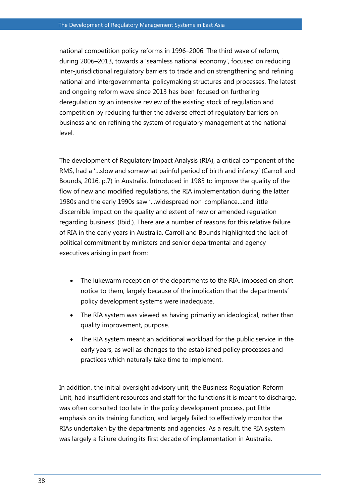national competition policy reforms in 1996–2006. The third wave of reform, during 2006–2013, towards a 'seamless national economy', focused on reducing inter-jurisdictional regulatory barriers to trade and on strengthening and refining national and intergovernmental policymaking structures and processes. The latest and ongoing reform wave since 2013 has been focused on furthering deregulation by an intensive review of the existing stock of regulation and competition by reducing further the adverse effect of regulatory barriers on business and on refining the system of regulatory management at the national level.

The development of Regulatory Impact Analysis (RIA), a critical component of the RMS, had a '…slow and somewhat painful period of birth and infancy' (Carroll and Bounds, 2016, p.7) in Australia. Introduced in 1985 to improve the quality of the flow of new and modified regulations, the RIA implementation during the latter 1980s and the early 1990s saw '…widespread non-compliance…and little discernible impact on the quality and extent of new or amended regulation regarding business' (Ibid.). There are a number of reasons for this relative failure of RIA in the early years in Australia. Carroll and Bounds highlighted the lack of political commitment by ministers and senior departmental and agency executives arising in part from:

- The lukewarm reception of the departments to the RIA, imposed on short notice to them, largely because of the implication that the departments' policy development systems were inadequate.
- The RIA system was viewed as having primarily an ideological, rather than quality improvement, purpose.
- The RIA system meant an additional workload for the public service in the early years, as well as changes to the established policy processes and practices which naturally take time to implement.

In addition, the initial oversight advisory unit, the Business Regulation Reform Unit, had insufficient resources and staff for the functions it is meant to discharge, was often consulted too late in the policy development process, put little emphasis on its training function, and largely failed to effectively monitor the RIAs undertaken by the departments and agencies. As a result, the RIA system was largely a failure during its first decade of implementation in Australia.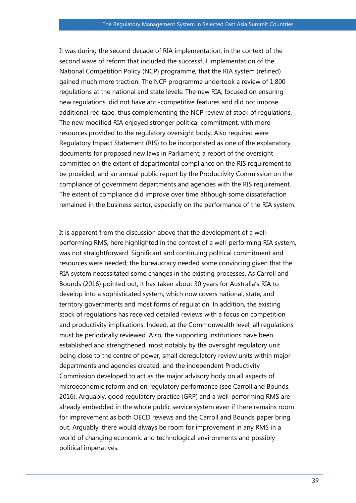It was during the second decade of RIA implementation, in the context of the second wave of reform that included the successful implementation of the National Competition Policy (NCP) programme, that the RIA system (refined) gained much more traction. The NCP programme undertook a review of 1,800 regulations at the national and state levels. The new RIA, focused on ensuring new regulations, did not have anti-competitive features and did not impose additional red tape, thus complementing the NCP review of stock of regulations. The new modified RIA enjoyed stronger political commitment, with more resources provided to the regulatory oversight body. Also required were Regulatory Impact Statement (RIS) to be incorporated as one of the explanatory documents for proposed new laws in Parliament; a report of the oversight committee on the extent of departmental compliance on the RIS requirement to be provided; and an annual public report by the Productivity Commission on the compliance of government departments and agencies with the RIS requirement. The extent of compliance did improve over time although some dissatisfaction remained in the business sector, especially on the performance of the RIA system.

It is apparent from the discussion above that the development of a wellperforming RMS, here highlighted in the context of a well-performing RIA system, was not straightforward. Significant and continuing political commitment and resources were needed; the bureaucracy needed some convincing given that the RIA system necessitated some changes in the existing processes. As Carroll and Bounds (2016) pointed out, it has taken about 30 years for Australia's RIA to develop into a sophisticated system, which now covers national, state, and territory governments and most forms of regulation. In addition, the existing stock of regulations has received detailed reviews with a focus on competition and productivity implications. Indeed, at the Commonwealth level, all regulations must be periodically reviewed. Also, the supporting institutions have been established and strengthened, most notably by the oversight regulatory unit being close to the centre of power, small deregulatory review units within major departments and agencies created, and the independent Productivity Commission developed to act as the major advisory body on all aspects of microeconomic reform and on regulatory performance (see Carroll and Bounds, 2016). Arguably, good regulatory practice (GRP) and a well-performing RMS are already embedded in the whole public service system even if there remains room for improvement as both OECD reviews and the Carroll and Bounds paper bring out. Arguably, there would always be room for improvement in any RMS in a world of changing economic and technological environments and possibly political imperatives.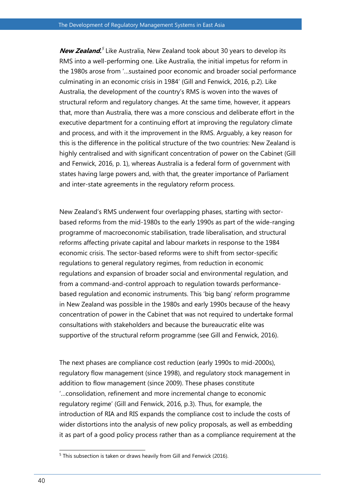New Zealand.<sup>5</sup> Like Australia, New Zealand took about 30 years to develop its RMS into a well-performing one. Like Australia, the initial impetus for reform in the 1980s arose from '…sustained poor economic and broader social performance culminating in an economic crisis in 1984' (Gill and Fenwick, 2016, p.2). Like Australia, the development of the country's RMS is woven into the waves of structural reform and regulatory changes. At the same time, however, it appears that, more than Australia, there was a more conscious and deliberate effort in the executive department for a continuing effort at improving the regulatory climate and process, and with it the improvement in the RMS. Arguably, a key reason for this is the difference in the political structure of the two countries: New Zealand is highly centralised and with significant concentration of power on the Cabinet (Gill and Fenwick, 2016, p. 1), whereas Australia is a federal form of government with states having large powers and, with that, the greater importance of Parliament and inter-state agreements in the regulatory reform process.

New Zealand's RMS underwent four overlapping phases, starting with sectorbased reforms from the mid-1980s to the early 1990s as part of the wide-ranging programme of macroeconomic stabilisation, trade liberalisation, and structural reforms affecting private capital and labour markets in response to the 1984 economic crisis. The sector-based reforms were to shift from sector-specific regulations to general regulatory regimes, from reduction in economic regulations and expansion of broader social and environmental regulation, and from a command-and-control approach to regulation towards performancebased regulation and economic instruments. This 'big bang' reform programme in New Zealand was possible in the 1980s and early 1990s because of the heavy concentration of power in the Cabinet that was not required to undertake formal consultations with stakeholders and because the bureaucratic elite was supportive of the structural reform programme (see Gill and Fenwick, 2016).

The next phases are compliance cost reduction (early 1990s to mid-2000s), regulatory flow management (since 1998), and regulatory stock management in addition to flow management (since 2009). These phases constitute '…consolidation, refinement and more incremental change to economic regulatory regime' (Gill and Fenwick, 2016, p.3). Thus, for example, the introduction of RIA and RIS expands the compliance cost to include the costs of wider distortions into the analysis of new policy proposals, as well as embedding it as part of a good policy process rather than as a compliance requirement at the

 $\overline{a}$  $5$  This subsection is taken or draws heavily from Gill and Fenwick (2016).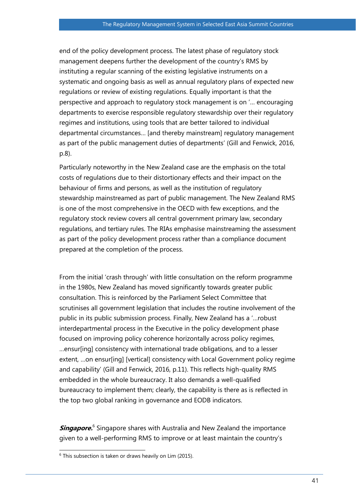end of the policy development process. The latest phase of regulatory stock management deepens further the development of the country's RMS by instituting a regular scanning of the existing legislative instruments on a systematic and ongoing basis as well as annual regulatory plans of expected new regulations or review of existing regulations. Equally important is that the perspective and approach to regulatory stock management is on '… encouraging departments to exercise responsible regulatory stewardship over their regulatory regimes and institutions, using tools that are better tailored to individual departmental circumstances… [and thereby mainstream] regulatory management as part of the public management duties of departments' (Gill and Fenwick, 2016, p.8).

Particularly noteworthy in the New Zealand case are the emphasis on the total costs of regulations due to their distortionary effects and their impact on the behaviour of firms and persons, as well as the institution of regulatory stewardship mainstreamed as part of public management. The New Zealand RMS is one of the most comprehensive in the OECD with few exceptions, and the regulatory stock review covers all central government primary law, secondary regulations, and tertiary rules. The RIAs emphasise mainstreaming the assessment as part of the policy development process rather than a compliance document prepared at the completion of the process.

From the initial 'crash through' with little consultation on the reform programme in the 1980s, New Zealand has moved significantly towards greater public consultation. This is reinforced by the Parliament Select Committee that scrutinises all government legislation that includes the routine involvement of the public in its public submission process. Finally, New Zealand has a '…robust interdepartmental process in the Executive in the policy development phase focused on improving policy coherence horizontally across policy regimes, …ensur[ing] consistency with international trade obligations, and to a lesser extent, …on ensur[ing] [vertical] consistency with Local Government policy regime and capability' (Gill and Fenwick, 2016, p.11). This reflects high-quality RMS embedded in the whole bureaucracy. It also demands a well-qualified bureaucracy to implement them; clearly, the capability is there as is reflected in the top two global ranking in governance and EODB indicators.

**Singapore.**<sup>6</sup> Singapore shares with Australia and New Zealand the importance given to a well-performing RMS to improve or at least maintain the country's

 $\overline{a}$ 

 $6$  This subsection is taken or draws heavily on Lim (2015).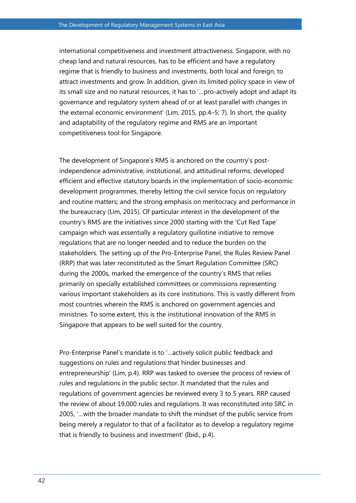international competitiveness and investment attractiveness. Singapore, with no cheap land and natural resources, has to be efficient and have a regulatory regime that is friendly to business and investments, both local and foreign, to attract investments and grow. In addition, given its limited policy space in view of its small size and no natural resources, it has to '…pro-actively adopt and adapt its governance and regulatory system ahead of or at least parallel with changes in the external economic environment' (Lim, 2015, pp.4–5; 7). In short, the quality and adaptability of the regulatory regime and RMS are an important competitiveness tool for Singapore.

The development of Singapore's RMS is anchored on the country's postindependence administrative, institutional, and attitudinal reforms; developed efficient and effective statutory boards in the implementation of socio-economic development programmes, thereby letting the civil service focus on regulatory and routine matters; and the strong emphasis on meritocracy and performance in the bureaucracy (Lim, 2015). Of particular interest in the development of the country's RMS are the initiatives since 2000 starting with the 'Cut Red Tape' campaign which was essentially a regulatory guillotine initiative to remove regulations that are no longer needed and to reduce the burden on the stakeholders. The setting up of the Pro-Enterprise Panel, the Rules Review Panel (RRP) that was later reconstituted as the Smart Regulation Committee (SRC) during the 2000s, marked the emergence of the country's RMS that relies primarily on specially established committees or commissions representing various important stakeholders as its core institutions. This is vastly different from most countries wherein the RMS is anchored on government agencies and ministries. To some extent, this is the institutional innovation of the RMS in Singapore that appears to be well suited for the country.

Pro-Enterprise Panel's mandate is to '…actively solicit public feedback and suggestions on rules and regulations that hinder businesses and entrepreneurship' (Lim, p.4). RRP was tasked to oversee the process of review of rules and regulations in the public sector. It mandated that the rules and regulations of government agencies be reviewed every 3 to 5 years. RRP caused the review of about 19,000 rules and regulations. It was reconstituted into SRC in 2005, '…with the broader mandate to shift the mindset of the public service from being merely a regulator to that of a facilitator as to develop a regulatory regime that is friendly to business and investment' (Ibid., p.4).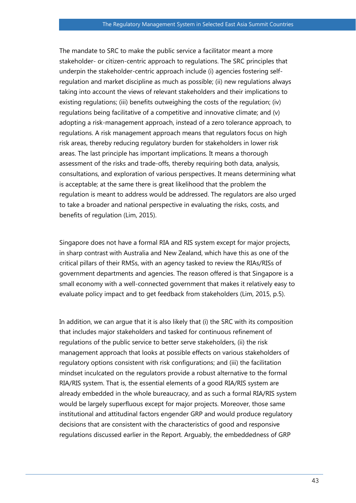The mandate to SRC to make the public service a facilitator meant a more stakeholder- or citizen-centric approach to regulations. The SRC principles that underpin the stakeholder-centric approach include (i) agencies fostering selfregulation and market discipline as much as possible; (ii) new regulations always taking into account the views of relevant stakeholders and their implications to existing regulations; (iii) benefits outweighing the costs of the regulation; (iv) regulations being facilitative of a competitive and innovative climate; and (v) adopting a risk-management approach, instead of a zero tolerance approach, to regulations. A risk management approach means that regulators focus on high risk areas, thereby reducing regulatory burden for stakeholders in lower risk areas. The last principle has important implications. It means a thorough assessment of the risks and trade-offs, thereby requiring both data, analysis, consultations, and exploration of various perspectives. It means determining what is acceptable; at the same there is great likelihood that the problem the regulation is meant to address would be addressed. The regulators are also urged to take a broader and national perspective in evaluating the risks, costs, and benefits of regulation (Lim, 2015).

Singapore does not have a formal RIA and RIS system except for major projects, in sharp contrast with Australia and New Zealand, which have this as one of the critical pillars of their RMSs, with an agency tasked to review the RIAs/RISs of government departments and agencies. The reason offered is that Singapore is a small economy with a well-connected government that makes it relatively easy to evaluate policy impact and to get feedback from stakeholders (Lim, 2015, p.5).

In addition, we can argue that it is also likely that (i) the SRC with its composition that includes major stakeholders and tasked for continuous refinement of regulations of the public service to better serve stakeholders, (ii) the risk management approach that looks at possible effects on various stakeholders of regulatory options consistent with risk configurations; and (iii) the facilitation mindset inculcated on the regulators provide a robust alternative to the formal RIA/RIS system. That is, the essential elements of a good RIA/RIS system are already embedded in the whole bureaucracy, and as such a formal RIA/RIS system would be largely superfluous except for major projects. Moreover, those same institutional and attitudinal factors engender GRP and would produce regulatory decisions that are consistent with the characteristics of good and responsive regulations discussed earlier in the Report. Arguably, the embeddedness of GRP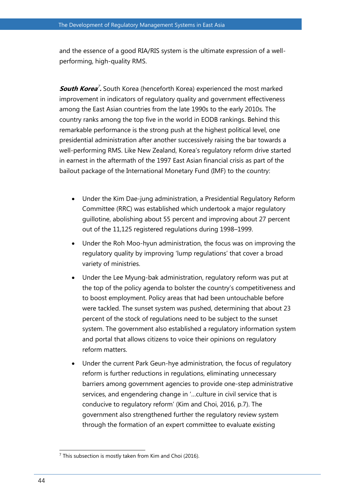and the essence of a good RIA/RIS system is the ultimate expression of a wellperforming, high-quality RMS.

**South Korea<sup>7</sup>.** South Korea (henceforth Korea) experienced the most marked improvement in indicators of regulatory quality and government effectiveness among the East Asian countries from the late 1990s to the early 2010s. The country ranks among the top five in the world in EODB rankings. Behind this remarkable performance is the strong push at the highest political level, one presidential administration after another successively raising the bar towards a well-performing RMS. Like New Zealand, Korea's regulatory reform drive started in earnest in the aftermath of the 1997 East Asian financial crisis as part of the bailout package of the International Monetary Fund (IMF) to the country:

- Under the Kim Dae-jung administration, a Presidential Regulatory Reform Committee (RRC) was established which undertook a major regulatory guillotine, abolishing about 55 percent and improving about 27 percent out of the 11,125 registered regulations during 1998–1999.
- Under the Roh Moo-hyun administration, the focus was on improving the regulatory quality by improving 'lump regulations' that cover a broad variety of ministries.
- Under the Lee Myung-bak administration, regulatory reform was put at the top of the policy agenda to bolster the country's competitiveness and to boost employment. Policy areas that had been untouchable before were tackled. The sunset system was pushed, determining that about 23 percent of the stock of regulations need to be subject to the sunset system. The government also established a regulatory information system and portal that allows citizens to voice their opinions on regulatory reform matters.
- Under the current Park Geun-hye administration, the focus of regulatory reform is further reductions in regulations, eliminating unnecessary barriers among government agencies to provide one-step administrative services, and engendering change in '…culture in civil service that is conducive to regulatory reform' (Kim and Choi, 2016, p.7). The government also strengthened further the regulatory review system through the formation of an expert committee to evaluate existing

 $\overline{a}$  $7$  This subsection is mostly taken from Kim and Choi (2016).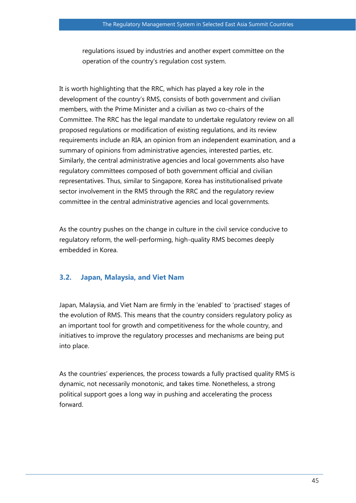regulations issued by industries and another expert committee on the operation of the country's regulation cost system.

It is worth highlighting that the RRC, which has played a key role in the development of the country's RMS, consists of both government and civilian members, with the Prime Minister and a civilian as two co-chairs of the Committee. The RRC has the legal mandate to undertake regulatory review on all proposed regulations or modification of existing regulations, and its review requirements include an RIA, an opinion from an independent examination, and a summary of opinions from administrative agencies, interested parties, etc. Similarly, the central administrative agencies and local governments also have regulatory committees composed of both government official and civilian representatives. Thus, similar to Singapore, Korea has institutionalised private sector involvement in the RMS through the RRC and the regulatory review committee in the central administrative agencies and local governments.

As the country pushes on the change in culture in the civil service conducive to regulatory reform, the well-performing, high-quality RMS becomes deeply embedded in Korea.

### **3.2. Japan, Malaysia, and Viet Nam**

Japan, Malaysia, and Viet Nam are firmly in the 'enabled' to 'practised' stages of the evolution of RMS. This means that the country considers regulatory policy as an important tool for growth and competitiveness for the whole country, and initiatives to improve the regulatory processes and mechanisms are being put into place.

As the countries' experiences, the process towards a fully practised quality RMS is dynamic, not necessarily monotonic, and takes time. Nonetheless, a strong political support goes a long way in pushing and accelerating the process forward.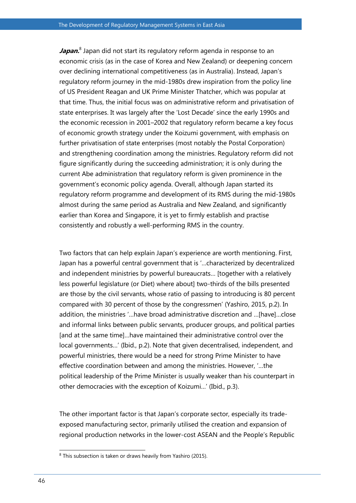Japan.<sup>8</sup> Japan did not start its regulatory reform agenda in response to an economic crisis (as in the case of Korea and New Zealand) or deepening concern over declining international competitiveness (as in Australia). Instead, Japan's regulatory reform journey in the mid-1980s drew inspiration from the policy line of US President Reagan and UK Prime Minister Thatcher, which was popular at that time. Thus, the initial focus was on administrative reform and privatisation of state enterprises. It was largely after the 'Lost Decade' since the early 1990s and the economic recession in 2001–2002 that regulatory reform became a key focus of economic growth strategy under the Koizumi government, with emphasis on further privatisation of state enterprises (most notably the Postal Corporation) and strengthening coordination among the ministries. Regulatory reform did not figure significantly during the succeeding administration; it is only during the current Abe administration that regulatory reform is given prominence in the government's economic policy agenda. Overall, although Japan started its regulatory reform programme and development of its RMS during the mid-1980s almost during the same period as Australia and New Zealand, and significantly earlier than Korea and Singapore, it is yet to firmly establish and practise consistently and robustly a well-performing RMS in the country.

Two factors that can help explain Japan's experience are worth mentioning. First, Japan has a powerful central government that is '…characterized by decentralized and independent ministries by powerful bureaucrats… [together with a relatively less powerful legislature (or Diet) where about] two-thirds of the bills presented are those by the civil servants, whose ratio of passing to introducing is 80 percent compared with 30 percent of those by the congressmen' (Yashiro, 2015, p.2). In addition, the ministries '…have broad administrative discretion and …[have]…close and informal links between public servants, producer groups, and political parties [and at the same time]…have maintained their administrative control over the local governments…' (Ibid., p.2). Note that given decentralised, independent, and powerful ministries, there would be a need for strong Prime Minister to have effective coordination between and among the ministries. However, '…the political leadership of the Prime Minister is usually weaker than his counterpart in other democracies with the exception of Koizumi…' (Ibid., p.3).

The other important factor is that Japan's corporate sector, especially its tradeexposed manufacturing sector, primarily utilised the creation and expansion of regional production networks in the lower-cost ASEAN and the People's Republic

 $\overline{a}$  $8$  This subsection is taken or draws heavily from Yashiro (2015).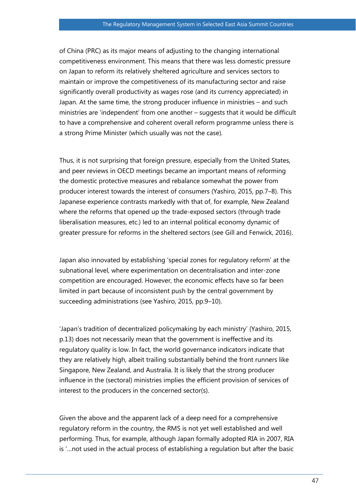of China (PRC) as its major means of adjusting to the changing international competitiveness environment. This means that there was less domestic pressure on Japan to reform its relatively sheltered agriculture and services sectors to maintain or improve the competitiveness of its manufacturing sector and raise significantly overall productivity as wages rose (and its currency appreciated) in Japan. At the same time, the strong producer influence in ministries – and such ministries are 'independent' from one another – suggests that it would be difficult to have a comprehensive and coherent overall reform programme unless there is a strong Prime Minister (which usually was not the case).

Thus, it is not surprising that foreign pressure, especially from the United States, and peer reviews in OECD meetings became an important means of reforming the domestic protective measures and rebalance somewhat the power from producer interest towards the interest of consumers (Yashiro, 2015, pp.7–8). This Japanese experience contrasts markedly with that of, for example, New Zealand where the reforms that opened up the trade-exposed sectors (through trade liberalisation measures, etc.) led to an internal political economy dynamic of greater pressure for reforms in the sheltered sectors (see Gill and Fenwick, 2016).

Japan also innovated by establishing 'special zones for regulatory reform' at the subnational level, where experimentation on decentralisation and inter-zone competition are encouraged. However, the economic effects have so far been limited in part because of inconsistent push by the central government by succeeding administrations (see Yashiro, 2015, pp.9–10).

'Japan's tradition of decentralized policymaking by each ministry' (Yashiro, 2015, p.13) does not necessarily mean that the government is ineffective and its regulatory quality is low. In fact, the world governance indicators indicate that they are relatively high, albeit trailing substantially behind the front runners like Singapore, New Zealand, and Australia. It is likely that the strong producer influence in the (sectoral) ministries implies the efficient provision of services of interest to the producers in the concerned sector(s).

Given the above and the apparent lack of a deep need for a comprehensive regulatory reform in the country, the RMS is not yet well established and well performing. Thus, for example, although Japan formally adopted RIA in 2007, RIA is '…not used in the actual process of establishing a regulation but after the basic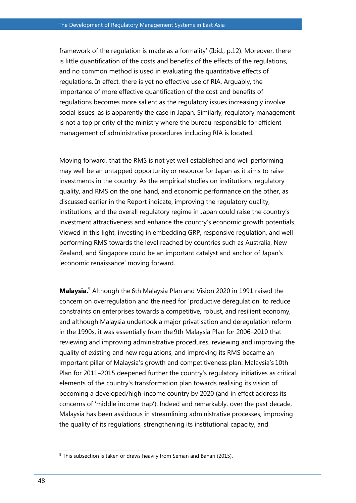framework of the regulation is made as a formality' (Ibid., p.12). Moreover, there is little quantification of the costs and benefits of the effects of the regulations, and no common method is used in evaluating the quantitative effects of regulations. In effect, there is yet no effective use of RIA. Arguably, the importance of more effective quantification of the cost and benefits of regulations becomes more salient as the regulatory issues increasingly involve social issues, as is apparently the case in Japan. Similarly, regulatory management is not a top priority of the ministry where the bureau responsible for efficient management of administrative procedures including RIA is located.

Moving forward, that the RMS is not yet well established and well performing may well be an untapped opportunity or resource for Japan as it aims to raise investments in the country. As the empirical studies on institutions, regulatory quality, and RMS on the one hand, and economic performance on the other, as discussed earlier in the Report indicate, improving the regulatory quality, institutions, and the overall regulatory regime in Japan could raise the country's investment attractiveness and enhance the country's economic growth potentials. Viewed in this light, investing in embedding GRP, responsive regulation, and wellperforming RMS towards the level reached by countries such as Australia, New Zealand, and Singapore could be an important catalyst and anchor of Japan's 'economic renaissance' moving forward.

**Malaysia.**<sup>9</sup> Although the 6th Malaysia Plan and Vision 2020 in 1991 raised the concern on overregulation and the need for 'productive deregulation' to reduce constraints on enterprises towards a competitive, robust, and resilient economy, and although Malaysia undertook a major privatisation and deregulation reform in the 1990s, it was essentially from the 9th Malaysia Plan for 2006–2010 that reviewing and improving administrative procedures, reviewing and improving the quality of existing and new regulations, and improving its RMS became an important pillar of Malaysia's growth and competitiveness plan. Malaysia's 10th Plan for 2011–2015 deepened further the country's regulatory initiatives as critical elements of the country's transformation plan towards realising its vision of becoming a developed/high-income country by 2020 (and in effect address its concerns of 'middle income trap'). Indeed and remarkably, over the past decade, Malaysia has been assiduous in streamlining administrative processes, improving the quality of its regulations, strengthening its institutional capacity, and

 $\overline{a}$ 

 $9$  This subsection is taken or draws heavily from Seman and Bahari (2015).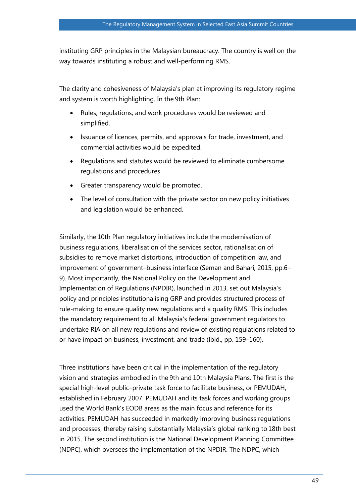instituting GRP principles in the Malaysian bureaucracy. The country is well on the way towards instituting a robust and well-performing RMS.

The clarity and cohesiveness of Malaysia's plan at improving its regulatory regime and system is worth highlighting. In the 9th Plan:

- Rules, regulations, and work procedures would be reviewed and simplified.
- Issuance of licences, permits, and approvals for trade, investment, and commercial activities would be expedited.
- Regulations and statutes would be reviewed to eliminate cumbersome regulations and procedures.
- Greater transparency would be promoted.
- The level of consultation with the private sector on new policy initiatives and legislation would be enhanced.

Similarly, the 10th Plan regulatory initiatives include the modernisation of business regulations, liberalisation of the services sector, rationalisation of subsidies to remove market distortions, introduction of competition law, and improvement of government–business interface (Seman and Bahari, 2015, pp.6– 9). Most importantly, the National Policy on the Development and Implementation of Regulations (NPDIR), launched in 2013, set out Malaysia's policy and principles institutionalising GRP and provides structured process of rule-making to ensure quality new regulations and a quality RMS. This includes the mandatory requirement to all Malaysia's federal government regulators to undertake RIA on all new regulations and review of existing regulations related to or have impact on business, investment, and trade (Ibid., pp. 159–160).

Three institutions have been critical in the implementation of the regulatory vision and strategies embodied in the 9th and 10th Malaysia Plans. The first is the special high-level public–private task force to facilitate business, or PEMUDAH, established in February 2007. PEMUDAH and its task forces and working groups used the World Bank's EODB areas as the main focus and reference for its activities. PEMUDAH has succeeded in markedly improving business regulations and processes, thereby raising substantially Malaysia's global ranking to 18th best in 2015. The second institution is the National Development Planning Committee (NDPC), which oversees the implementation of the NPDIR. The NDPC, which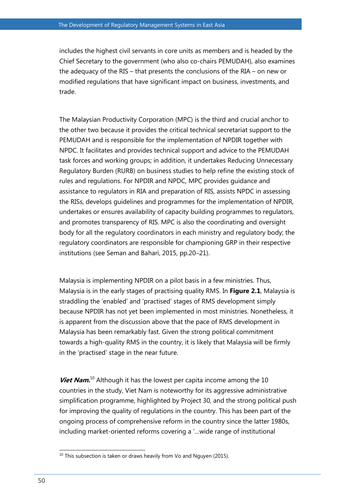includes the highest civil servants in core units as members and is headed by the Chief Secretary to the government (who also co-chairs PEMUDAH), also examines the adequacy of the RIS – that presents the conclusions of the RIA – on new or modified regulations that have significant impact on business, investments, and trade.

The Malaysian Productivity Corporation (MPC) is the third and crucial anchor to the other two because it provides the critical technical secretariat support to the PEMUDAH and is responsible for the implementation of NPDIR together with NPDC. It facilitates and provides technical support and advice to the PEMUDAH task forces and working groups; in addition, it undertakes Reducing Unnecessary Regulatory Burden (RURB) on business studies to help refine the existing stock of rules and regulations. For NPDIR and NPDC, MPC provides guidance and assistance to regulators in RIA and preparation of RIS, assists NPDC in assessing the RISs, develops guidelines and programmes for the implementation of NPDIR, undertakes or ensures availability of capacity building programmes to regulators, and promotes transparency of RIS. MPC is also the coordinating and oversight body for all the regulatory coordinators in each ministry and regulatory body; the regulatory coordinators are responsible for championing GRP in their respective institutions (see Seman and Bahari, 2015, pp.20–21).

Malaysia is implementing NPDIR on a pilot basis in a few ministries. Thus, Malaysia is in the early stages of practising quality RMS. In **Figure 2.1**, Malaysia is straddling the 'enabled' and 'practised' stages of RMS development simply because NPDIR has not yet been implemented in most ministries. Nonetheless, it is apparent from the discussion above that the pace of RMS development in Malaysia has been remarkably fast. Given the strong political commitment towards a high-quality RMS in the country, it is likely that Malaysia will be firmly in the 'practised' stage in the near future.

Viet Nam.<sup>10</sup> Although it has the lowest per capita income among the 10 countries in the study, Viet Nam is noteworthy for its aggressive administrative simplification programme, highlighted by Project 30, and the strong political push for improving the quality of regulations in the country. This has been part of the ongoing process of comprehensive reform in the country since the latter 1980s, including market-oriented reforms covering a '…wide range of institutional

 $\overline{a}$ 

 $10$  This subsection is taken or draws heavily from Vo and Nguyen (2015).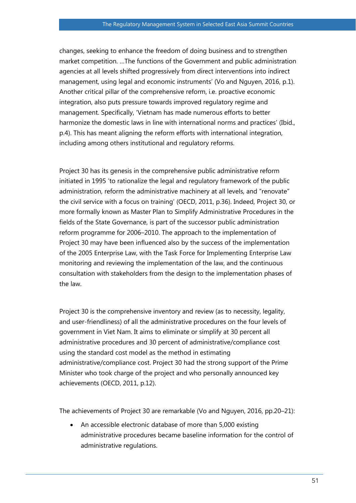changes, seeking to enhance the freedom of doing business and to strengthen market competition. …The functions of the Government and public administration agencies at all levels shifted progressively from direct interventions into indirect management, using legal and economic instruments' (Vo and Nguyen, 2016, p.1). Another critical pillar of the comprehensive reform, i.e. proactive economic integration, also puts pressure towards improved regulatory regime and management. Specifically, 'Vietnam has made numerous efforts to better harmonize the domestic laws in line with international norms and practices' (Ibid., p.4). This has meant aligning the reform efforts with international integration, including among others institutional and regulatory reforms.

Project 30 has its genesis in the comprehensive public administrative reform initiated in 1995 'to rationalize the legal and regulatory framework of the public administration, reform the administrative machinery at all levels, and "renovate" the civil service with a focus on training' (OECD, 2011, p.36). Indeed, Project 30, or more formally known as Master Plan to Simplify Administrative Procedures in the fields of the State Governance, is part of the successor public administration reform programme for 2006–2010. The approach to the implementation of Project 30 may have been influenced also by the success of the implementation of the 2005 Enterprise Law, with the Task Force for Implementing Enterprise Law monitoring and reviewing the implementation of the law, and the continuous consultation with stakeholders from the design to the implementation phases of the law.

Project 30 is the comprehensive inventory and review (as to necessity, legality, and user-friendliness) of all the administrative procedures on the four levels of government in Viet Nam. It aims to eliminate or simplify at 30 percent all administrative procedures and 30 percent of administrative/compliance cost using the standard cost model as the method in estimating administrative/compliance cost. Project 30 had the strong support of the Prime Minister who took charge of the project and who personally announced key achievements (OECD, 2011, p.12).

The achievements of Project 30 are remarkable (Vo and Nguyen, 2016, pp.20–21):

• An accessible electronic database of more than 5,000 existing administrative procedures became baseline information for the control of administrative regulations.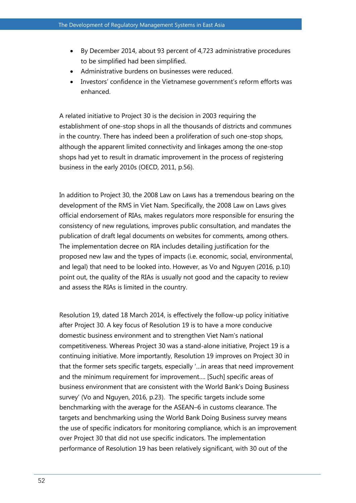- By December 2014, about 93 percent of 4,723 administrative procedures to be simplified had been simplified.
- Administrative burdens on businesses were reduced.
- Investors' confidence in the Vietnamese government's reform efforts was enhanced.

A related initiative to Project 30 is the decision in 2003 requiring the establishment of one-stop shops in all the thousands of districts and communes in the country. There has indeed been a proliferation of such one-stop shops, although the apparent limited connectivity and linkages among the one-stop shops had yet to result in dramatic improvement in the process of registering business in the early 2010s (OECD, 2011, p.56).

In addition to Project 30, the 2008 Law on Laws has a tremendous bearing on the development of the RMS in Viet Nam. Specifically, the 2008 Law on Laws gives official endorsement of RIAs, makes regulators more responsible for ensuring the consistency of new regulations, improves public consultation, and mandates the publication of draft legal documents on websites for comments, among others. The implementation decree on RIA includes detailing justification for the proposed new law and the types of impacts (i.e. economic, social, environmental, and legal) that need to be looked into. However, as Vo and Nguyen (2016, p.10) point out, the quality of the RIAs is usually not good and the capacity to review and assess the RIAs is limited in the country.

Resolution 19, dated 18 March 2014, is effectively the follow-up policy initiative after Project 30. A key focus of Resolution 19 is to have a more conducive domestic business environment and to strengthen Viet Nam's national competitiveness. Whereas Project 30 was a stand-alone initiative, Project 19 is a continuing initiative. More importantly, Resolution 19 improves on Project 30 in that the former sets specific targets, especially '…in areas that need improvement and the minimum requirement for improvement…. [Such] specific areas of business environment that are consistent with the World Bank's Doing Business survey' (Vo and Nguyen, 2016, p.23). The specific targets include some benchmarking with the average for the ASEAN–6 in customs clearance. The targets and benchmarking using the World Bank Doing Business survey means the use of specific indicators for monitoring compliance, which is an improvement over Project 30 that did not use specific indicators. The implementation performance of Resolution 19 has been relatively significant, with 30 out of the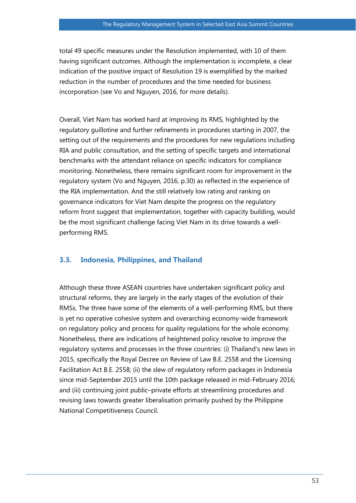total 49 specific measures under the Resolution implemented, with 10 of them having significant outcomes. Although the implementation is incomplete, a clear indication of the positive impact of Resolution 19 is exemplified by the marked reduction in the number of procedures and the time needed for business incorporation (see Vo and Nguyen, 2016, for more details).

Overall, Viet Nam has worked hard at improving its RMS, highlighted by the regulatory guillotine and further refinements in procedures starting in 2007, the setting out of the requirements and the procedures for new regulations including RIA and public consultation, and the setting of specific targets and international benchmarks with the attendant reliance on specific indicators for compliance monitoring. Nonetheless, there remains significant room for improvement in the regulatory system (Vo and Nguyen, 2016, p.30) as reflected in the experience of the RIA implementation. And the still relatively low rating and ranking on governance indicators for Viet Nam despite the progress on the regulatory reform front suggest that implementation, together with capacity building, would be the most significant challenge facing Viet Nam in its drive towards a wellperforming RMS.

#### **3.3. Indonesia, Philippines, and Thailand**

Although these three ASEAN countries have undertaken significant policy and structural reforms, they are largely in the early stages of the evolution of their RMSs. The three have some of the elements of a well-performing RMS, but there is yet no operative cohesive system and overarching economy-wide framework on regulatory policy and process for quality regulations for the whole economy. Nonetheless, there are indications of heightened policy resolve to improve the regulatory systems and processes in the three countries: (i) Thailand's new laws in 2015, specifically the Royal Decree on Review of Law B.E. 2558 and the Licensing Facilitation Act B.E. 2558; (ii) the slew of regulatory reform packages in Indonesia since mid-September 2015 until the 10th package released in mid-February 2016; and (iii) continuing joint public–private efforts at streamlining procedures and revising laws towards greater liberalisation primarily pushed by the Philippine National Competitiveness Council.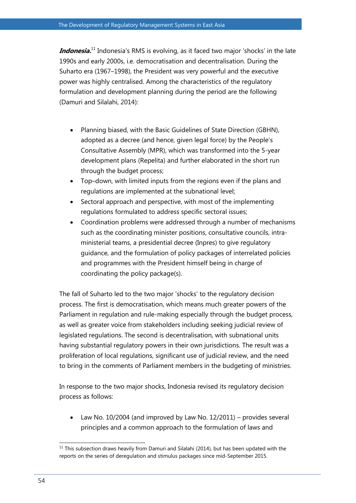**Indonesia.** <sup>11</sup> Indonesia's RMS is evolving, as it faced two major 'shocks' in the late 1990s and early 2000s, i.e. democratisation and decentralisation. During the Suharto era (1967–1998), the President was very powerful and the executive power was highly centralised. Among the characteristics of the regulatory formulation and development planning during the period are the following (Damuri and Silalahi, 2014):

- Planning biased, with the Basic Guidelines of State Direction (GBHN), adopted as a decree (and hence, given legal force) by the People's Consultative Assembly (MPR), which was transformed into the 5-year development plans (Repelita) and further elaborated in the short run through the budget process;
- Top–down, with limited inputs from the regions even if the plans and regulations are implemented at the subnational level;
- Sectoral approach and perspective, with most of the implementing regulations formulated to address specific sectoral issues;
- Coordination problems were addressed through a number of mechanisms such as the coordinating minister positions, consultative councils, intraministerial teams, a presidential decree (Inpres) to give regulatory guidance, and the formulation of policy packages of interrelated policies and programmes with the President himself being in charge of coordinating the policy package(s).

The fall of Suharto led to the two major 'shocks' to the regulatory decision process. The first is democratisation, which means much greater powers of the Parliament in regulation and rule-making especially through the budget process, as well as greater voice from stakeholders including seeking judicial review of legislated regulations. The second is decentralisation, with subnational units having substantial regulatory powers in their own jurisdictions. The result was a proliferation of local regulations, significant use of judicial review, and the need to bring in the comments of Parliament members in the budgeting of ministries.

In response to the two major shocks, Indonesia revised its regulatory decision process as follows:

 Law No. 10/2004 (and improved by Law No. 12/2011) – provides several principles and a common approach to the formulation of laws and

 $\overline{a}$  $11$  This subsection draws heavily from Damuri and Silalahi (2014), but has been updated with the reports on the series of deregulation and stimulus packages since mid-September 2015.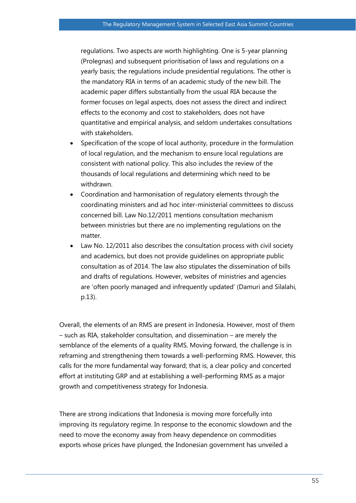regulations. Two aspects are worth highlighting. One is 5-year planning (Prolegnas) and subsequent prioritisation of laws and regulations on a yearly basis; the regulations include presidential regulations. The other is the mandatory RIA in terms of an academic study of the new bill. The academic paper differs substantially from the usual RIA because the former focuses on legal aspects, does not assess the direct and indirect effects to the economy and cost to stakeholders, does not have quantitative and empirical analysis, and seldom undertakes consultations with stakeholders.

- Specification of the scope of local authority, procedure in the formulation of local regulation, and the mechanism to ensure local regulations are consistent with national policy. This also includes the review of the thousands of local regulations and determining which need to be withdrawn.
- Coordination and harmonisation of regulatory elements through the coordinating ministers and ad hoc inter-ministerial committees to discuss concerned bill. Law No.12/2011 mentions consultation mechanism between ministries but there are no implementing regulations on the matter.
- Law No. 12/2011 also describes the consultation process with civil society and academics, but does not provide guidelines on appropriate public consultation as of 2014. The law also stipulates the dissemination of bills and drafts of regulations. However, websites of ministries and agencies are 'often poorly managed and infrequently updated' (Damuri and Silalahi, p.13).

Overall, the elements of an RMS are present in Indonesia. However, most of them – such as RIA, stakeholder consultation, and dissemination – are merely the semblance of the elements of a quality RMS. Moving forward, the challenge is in reframing and strengthening them towards a well-performing RMS. However, this calls for the more fundamental way forward; that is, a clear policy and concerted effort at instituting GRP and at establishing a well-performing RMS as a major growth and competitiveness strategy for Indonesia.

There are strong indications that Indonesia is moving more forcefully into improving its regulatory regime. In response to the economic slowdown and the need to move the economy away from heavy dependence on commodities exports whose prices have plunged, the Indonesian government has unveiled a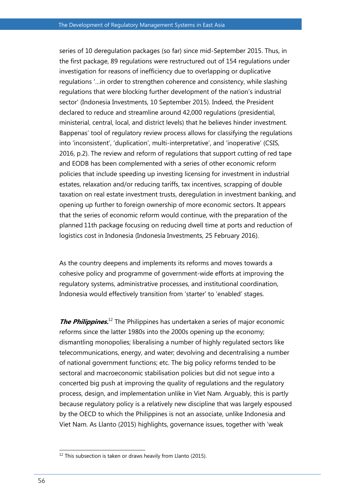series of 10 deregulation packages (so far) since mid-September 2015. Thus, in the first package, 89 regulations were restructured out of 154 regulations under investigation for reasons of inefficiency due to overlapping or duplicative regulations '…in order to strengthen coherence and consistency, while slashing regulations that were blocking further development of the nation's industrial sector' (Indonesia Investments, 10 September 2015). Indeed, the President declared to reduce and streamline around 42,000 regulations (presidential, ministerial, central, local, and district levels) that he believes hinder investment. Bappenas' tool of regulatory review process allows for classifying the regulations into 'inconsistent', 'duplication', multi-interpretative', and 'inoperative' (CSIS, 2016, p.2). The review and reform of regulations that support cutting of red tape and EODB has been complemented with a series of other economic reform policies that include speeding up investing licensing for investment in industrial estates, relaxation and/or reducing tariffs, tax incentives, scrapping of double taxation on real estate investment trusts, deregulation in investment banking, and opening up further to foreign ownership of more economic sectors. It appears that the series of economic reform would continue, with the preparation of the planned 11th package focusing on reducing dwell time at ports and reduction of logistics cost in Indonesia (Indonesia Investments, 25 February 2016).

As the country deepens and implements its reforms and moves towards a cohesive policy and programme of government-wide efforts at improving the regulatory systems, administrative processes, and institutional coordination, Indonesia would effectively transition from 'starter' to 'enabled' stages.

**The Philippines.**<sup>12</sup> The Philippines has undertaken a series of major economic reforms since the latter 1980s into the 2000s opening up the economy; dismantling monopolies; liberalising a number of highly regulated sectors like telecommunications, energy, and water; devolving and decentralising a number of national government functions; etc. The big policy reforms tended to be sectoral and macroeconomic stabilisation policies but did not segue into a concerted big push at improving the quality of regulations and the regulatory process, design, and implementation unlike in Viet Nam. Arguably, this is partly because regulatory policy is a relatively new discipline that was largely espoused by the OECD to which the Philippines is not an associate, unlike Indonesia and Viet Nam. As Llanto (2015) highlights, governance issues, together with 'weak

 $\overline{a}$ 

 $12$  This subsection is taken or draws heavily from Llanto (2015).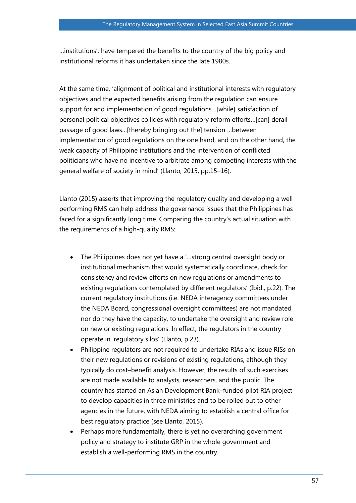…institutions', have tempered the benefits to the country of the big policy and institutional reforms it has undertaken since the late 1980s.

At the same time, 'alignment of political and institutional interests with regulatory objectives and the expected benefits arising from the regulation can ensure support for and implementation of good regulations…[while] satisfaction of personal political objectives collides with regulatory reform efforts…[can] derail passage of good laws…[thereby bringing out the] tension …between implementation of good regulations on the one hand, and on the other hand, the weak capacity of Philippine institutions and the intervention of conflicted politicians who have no incentive to arbitrate among competing interests with the general welfare of society in mind' (Llanto, 2015, pp.15–16).

Llanto (2015) asserts that improving the regulatory quality and developing a wellperforming RMS can help address the governance issues that the Philippines has faced for a significantly long time. Comparing the country's actual situation with the requirements of a high-quality RMS:

- The Philippines does not yet have a '…strong central oversight body or institutional mechanism that would systematically coordinate, check for consistency and review efforts on new regulations or amendments to existing regulations contemplated by different regulators' (Ibid., p.22). The current regulatory institutions (i.e. NEDA interagency committees under the NEDA Board, congressional oversight committees) are not mandated, nor do they have the capacity, to undertake the oversight and review role on new or existing regulations. In effect, the regulators in the country operate in 'regulatory silos' (Llanto, p.23).
- Philippine regulators are not required to undertake RIAs and issue RISs on their new regulations or revisions of existing regulations, although they typically do cost–benefit analysis. However, the results of such exercises are not made available to analysts, researchers, and the public. The country has started an Asian Development Bank–funded pilot RIA project to develop capacities in three ministries and to be rolled out to other agencies in the future, with NEDA aiming to establish a central office for best regulatory practice (see Llanto, 2015).
- Perhaps more fundamentally, there is yet no overarching government policy and strategy to institute GRP in the whole government and establish a well-performing RMS in the country.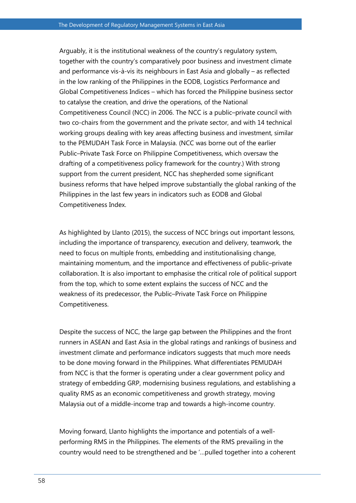Arguably, it is the institutional weakness of the country's regulatory system, together with the country's comparatively poor business and investment climate and performance vis-à-vis its neighbours in East Asia and globally – as reflected in the low ranking of the Philippines in the EODB, Logistics Performance and Global Competitiveness Indices – which has forced the Philippine business sector to catalyse the creation, and drive the operations, of the National Competitiveness Council (NCC) in 2006. The NCC is a public–private council with two co-chairs from the government and the private sector, and with 14 technical working groups dealing with key areas affecting business and investment, similar to the PEMUDAH Task Force in Malaysia. (NCC was borne out of the earlier Public–Private Task Force on Philippine Competitiveness, which oversaw the drafting of a competitiveness policy framework for the country.) With strong support from the current president, NCC has shepherded some significant business reforms that have helped improve substantially the global ranking of the Philippines in the last few years in indicators such as EODB and Global Competitiveness Index.

As highlighted by Llanto (2015), the success of NCC brings out important lessons, including the importance of transparency, execution and delivery, teamwork, the need to focus on multiple fronts, embedding and institutionalising change, maintaining momentum, and the importance and effectiveness of public–private collaboration. It is also important to emphasise the critical role of political support from the top, which to some extent explains the success of NCC and the weakness of its predecessor, the Public–Private Task Force on Philippine Competitiveness.

Despite the success of NCC, the large gap between the Philippines and the front runners in ASEAN and East Asia in the global ratings and rankings of business and investment climate and performance indicators suggests that much more needs to be done moving forward in the Philippines. What differentiates PEMUDAH from NCC is that the former is operating under a clear government policy and strategy of embedding GRP, modernising business regulations, and establishing a quality RMS as an economic competitiveness and growth strategy, moving Malaysia out of a middle-income trap and towards a high-income country.

Moving forward, Llanto highlights the importance and potentials of a wellperforming RMS in the Philippines. The elements of the RMS prevailing in the country would need to be strengthened and be '…pulled together into a coherent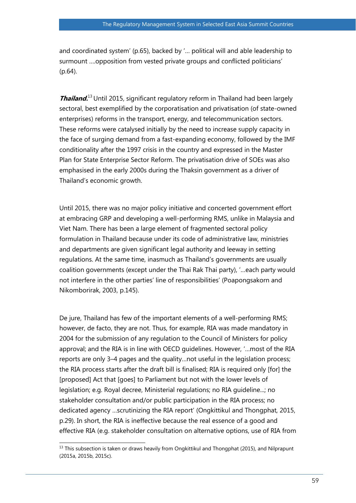and coordinated system' (p.65), backed by '… political will and able leadership to surmount ….opposition from vested private groups and conflicted politicians' (p.64).

**Thailand.**<sup>13</sup> Until 2015, significant regulatory reform in Thailand had been largely sectoral, best exemplified by the corporatisation and privatisation (of state-owned enterprises) reforms in the transport, energy, and telecommunication sectors. These reforms were catalysed initially by the need to increase supply capacity in the face of surging demand from a fast-expanding economy, followed by the IMF conditionality after the 1997 crisis in the country and expressed in the Master Plan for State Enterprise Sector Reform. The privatisation drive of SOEs was also emphasised in the early 2000s during the Thaksin government as a driver of Thailand's economic growth.

Until 2015, there was no major policy initiative and concerted government effort at embracing GRP and developing a well-performing RMS, unlike in Malaysia and Viet Nam. There has been a large element of fragmented sectoral policy formulation in Thailand because under its code of administrative law, ministries and departments are given significant legal authority and leeway in setting regulations. At the same time, inasmuch as Thailand's governments are usually coalition governments (except under the Thai Rak Thai party), '…each party would not interfere in the other parties' line of responsibilities' (Poapongsakorn and Nikomborirak, 2003, p.145).

De jure, Thailand has few of the important elements of a well-performing RMS; however, de facto, they are not. Thus, for example, RIA was made mandatory in 2004 for the submission of any regulation to the Council of Ministers for policy approval; and the RIA is in line with OECD guidelines. However, '…most of the RIA reports are only 3–4 pages and the quality…not useful in the legislation process; the RIA process starts after the draft bill is finalised; RIA is required only [for] the [proposed] Act that [goes] to Parliament but not with the lower levels of legislation; e.g. Royal decree, Ministerial regulations; no RIA guideline...; no stakeholder consultation and/or public participation in the RIA process; no dedicated agency …scrutinizing the RIA report' (Ongkittikul and Thongphat, 2015, p.29). In short, the RIA is ineffective because the real essence of a good and effective RIA (e.g. stakeholder consultation on alternative options, use of RIA from

 $\overline{a}$  $^{13}$  This subsection is taken or draws heavily from Ongkittikul and Thongphat (2015), and Nilprapunt (2015a, 2015b, 2015c).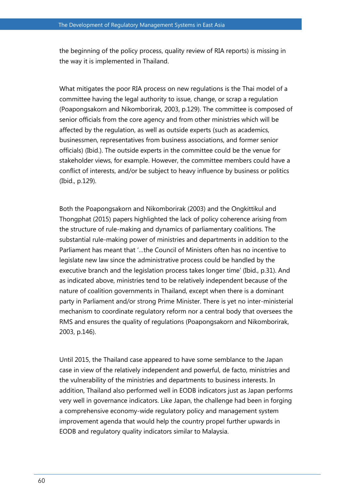the beginning of the policy process, quality review of RIA reports) is missing in the way it is implemented in Thailand.

What mitigates the poor RIA process on new regulations is the Thai model of a committee having the legal authority to issue, change, or scrap a regulation (Poapongsakorn and Nikomborirak, 2003, p.129). The committee is composed of senior officials from the core agency and from other ministries which will be affected by the regulation, as well as outside experts (such as academics, businessmen, representatives from business associations, and former senior officials) (Ibid.). The outside experts in the committee could be the venue for stakeholder views, for example. However, the committee members could have a conflict of interests, and/or be subject to heavy influence by business or politics (Ibid., p.129).

Both the Poapongsakorn and Nikomborirak (2003) and the Ongkittikul and Thongphat (2015) papers highlighted the lack of policy coherence arising from the structure of rule-making and dynamics of parliamentary coalitions. The substantial rule-making power of ministries and departments in addition to the Parliament has meant that '…the Council of Ministers often has no incentive to legislate new law since the administrative process could be handled by the executive branch and the legislation process takes longer time' (Ibid., p.31). And as indicated above, ministries tend to be relatively independent because of the nature of coalition governments in Thailand, except when there is a dominant party in Parliament and/or strong Prime Minister. There is yet no inter-ministerial mechanism to coordinate regulatory reform nor a central body that oversees the RMS and ensures the quality of regulations (Poapongsakorn and Nikomborirak, 2003, p.146).

Until 2015, the Thailand case appeared to have some semblance to the Japan case in view of the relatively independent and powerful, de facto, ministries and the vulnerability of the ministries and departments to business interests. In addition, Thailand also performed well in EODB indicators just as Japan performs very well in governance indicators. Like Japan, the challenge had been in forging a comprehensive economy-wide regulatory policy and management system improvement agenda that would help the country propel further upwards in EODB and regulatory quality indicators similar to Malaysia.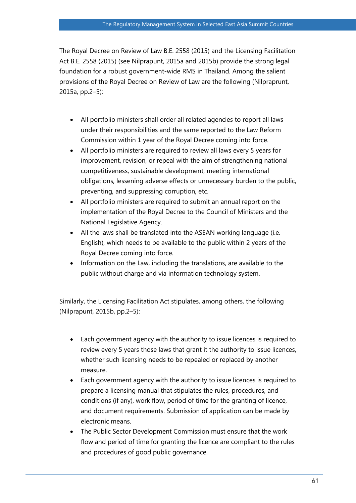The Royal Decree on Review of Law B.E. 2558 (2015) and the Licensing Facilitation Act B.E. 2558 (2015) (see Nilprapunt, 2015a and 2015b) provide the strong legal foundation for a robust government-wide RMS in Thailand. Among the salient provisions of the Royal Decree on Review of Law are the following (Nilpraprunt, 2015a, pp.2–5):

- All portfolio ministers shall order all related agencies to report all laws under their responsibilities and the same reported to the Law Reform Commission within 1 year of the Royal Decree coming into force.
- All portfolio ministers are required to review all laws every 5 years for improvement, revision, or repeal with the aim of strengthening national competitiveness, sustainable development, meeting international obligations, lessening adverse effects or unnecessary burden to the public, preventing, and suppressing corruption, etc.
- All portfolio ministers are required to submit an annual report on the implementation of the Royal Decree to the Council of Ministers and the National Legislative Agency.
- All the laws shall be translated into the ASEAN working language (i.e. English), which needs to be available to the public within 2 years of the Royal Decree coming into force.
- Information on the Law, including the translations, are available to the public without charge and via information technology system.

Similarly, the Licensing Facilitation Act stipulates, among others, the following (Nilprapunt, 2015b, pp.2–5):

- Each government agency with the authority to issue licences is required to review every 5 years those laws that grant it the authority to issue licences, whether such licensing needs to be repealed or replaced by another measure.
- Each government agency with the authority to issue licences is required to prepare a licensing manual that stipulates the rules, procedures, and conditions (if any), work flow, period of time for the granting of licence, and document requirements. Submission of application can be made by electronic means.
- The Public Sector Development Commission must ensure that the work flow and period of time for granting the licence are compliant to the rules and procedures of good public governance.